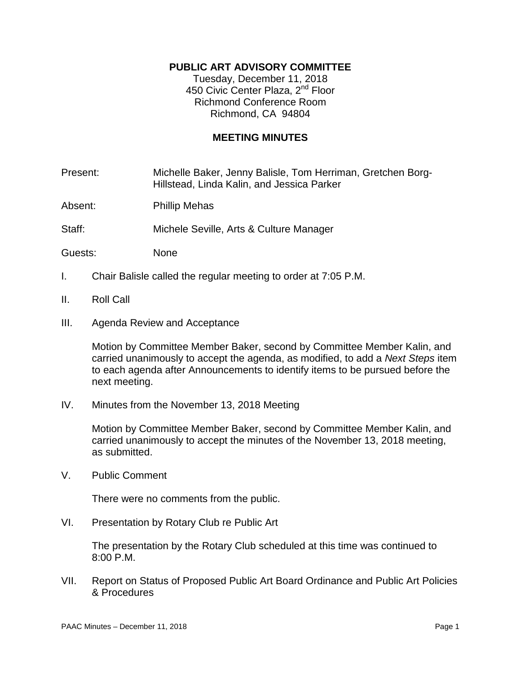# **PUBLIC ART ADVISORY COMMITTEE**

Tuesday, December 11, 2018 450 Civic Center Plaza, 2<sup>nd</sup> Floor Richmond Conference Room Richmond, CA 94804

# **MEETING MINUTES**

Present: Michelle Baker, Jenny Balisle, Tom Herriman, Gretchen Borg-Hillstead, Linda Kalin, and Jessica Parker

Absent: Phillip Mehas

Staff: Michele Seville, Arts & Culture Manager

Guests: None

- I. Chair Balisle called the regular meeting to order at 7:05 P.M.
- II. Roll Call
- III. Agenda Review and Acceptance

Motion by Committee Member Baker, second by Committee Member Kalin, and carried unanimously to accept the agenda, as modified, to add a *Next Steps* item to each agenda after Announcements to identify items to be pursued before the next meeting.

IV. Minutes from the November 13, 2018 Meeting

Motion by Committee Member Baker, second by Committee Member Kalin, and carried unanimously to accept the minutes of the November 13, 2018 meeting, as submitted.

V. Public Comment

There were no comments from the public.

VI. Presentation by Rotary Club re Public Art

The presentation by the Rotary Club scheduled at this time was continued to 8:00 P.M.

VII. Report on Status of Proposed Public Art Board Ordinance and Public Art Policies & Procedures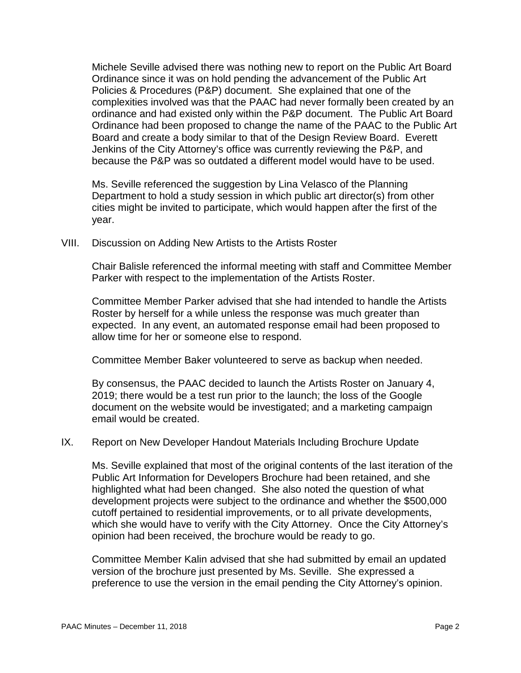Michele Seville advised there was nothing new to report on the Public Art Board Ordinance since it was on hold pending the advancement of the Public Art Policies & Procedures (P&P) document. She explained that one of the complexities involved was that the PAAC had never formally been created by an ordinance and had existed only within the P&P document. The Public Art Board Ordinance had been proposed to change the name of the PAAC to the Public Art Board and create a body similar to that of the Design Review Board. Everett Jenkins of the City Attorney's office was currently reviewing the P&P, and because the P&P was so outdated a different model would have to be used.

Ms. Seville referenced the suggestion by Lina Velasco of the Planning Department to hold a study session in which public art director(s) from other cities might be invited to participate, which would happen after the first of the year.

VIII. Discussion on Adding New Artists to the Artists Roster

Chair Balisle referenced the informal meeting with staff and Committee Member Parker with respect to the implementation of the Artists Roster.

Committee Member Parker advised that she had intended to handle the Artists Roster by herself for a while unless the response was much greater than expected. In any event, an automated response email had been proposed to allow time for her or someone else to respond.

Committee Member Baker volunteered to serve as backup when needed.

By consensus, the PAAC decided to launch the Artists Roster on January 4, 2019; there would be a test run prior to the launch; the loss of the Google document on the website would be investigated; and a marketing campaign email would be created.

### IX. Report on New Developer Handout Materials Including Brochure Update

Ms. Seville explained that most of the original contents of the last iteration of the Public Art Information for Developers Brochure had been retained, and she highlighted what had been changed. She also noted the question of what development projects were subject to the ordinance and whether the \$500,000 cutoff pertained to residential improvements, or to all private developments, which she would have to verify with the City Attorney. Once the City Attorney's opinion had been received, the brochure would be ready to go.

Committee Member Kalin advised that she had submitted by email an updated version of the brochure just presented by Ms. Seville. She expressed a preference to use the version in the email pending the City Attorney's opinion.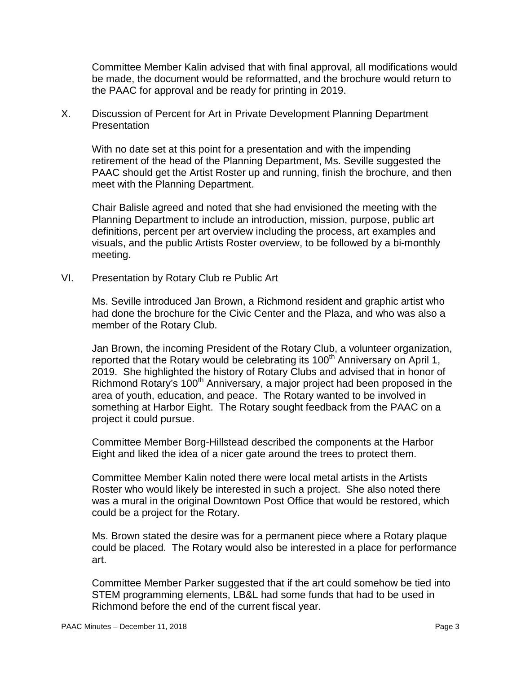Committee Member Kalin advised that with final approval, all modifications would be made, the document would be reformatted, and the brochure would return to the PAAC for approval and be ready for printing in 2019.

X. Discussion of Percent for Art in Private Development Planning Department **Presentation** 

With no date set at this point for a presentation and with the impending retirement of the head of the Planning Department, Ms. Seville suggested the PAAC should get the Artist Roster up and running, finish the brochure, and then meet with the Planning Department.

Chair Balisle agreed and noted that she had envisioned the meeting with the Planning Department to include an introduction, mission, purpose, public art definitions, percent per art overview including the process, art examples and visuals, and the public Artists Roster overview, to be followed by a bi-monthly meeting.

VI. Presentation by Rotary Club re Public Art

Ms. Seville introduced Jan Brown, a Richmond resident and graphic artist who had done the brochure for the Civic Center and the Plaza, and who was also a member of the Rotary Club.

Jan Brown, the incoming President of the Rotary Club, a volunteer organization, reported that the Rotary would be celebrating its 100<sup>th</sup> Anniversary on April 1, 2019. She highlighted the history of Rotary Clubs and advised that in honor of Richmond Rotary's 100<sup>th</sup> Anniversary, a major project had been proposed in the area of youth, education, and peace. The Rotary wanted to be involved in something at Harbor Eight. The Rotary sought feedback from the PAAC on a project it could pursue.

Committee Member Borg-Hillstead described the components at the Harbor Eight and liked the idea of a nicer gate around the trees to protect them.

Committee Member Kalin noted there were local metal artists in the Artists Roster who would likely be interested in such a project. She also noted there was a mural in the original Downtown Post Office that would be restored, which could be a project for the Rotary.

Ms. Brown stated the desire was for a permanent piece where a Rotary plaque could be placed. The Rotary would also be interested in a place for performance art.

Committee Member Parker suggested that if the art could somehow be tied into STEM programming elements, LB&L had some funds that had to be used in Richmond before the end of the current fiscal year.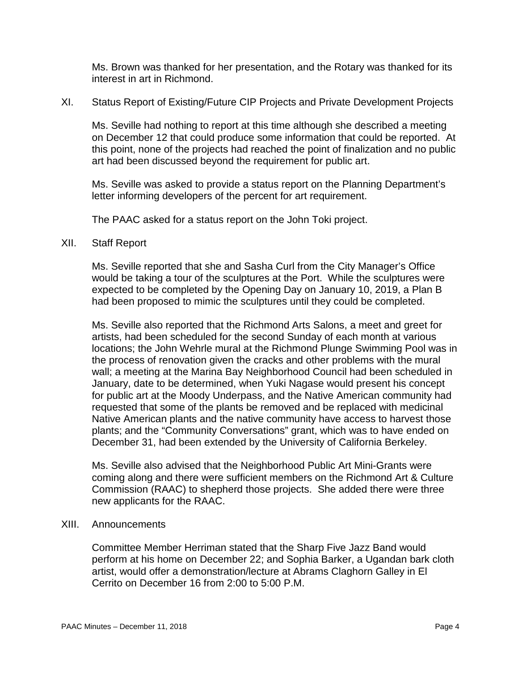Ms. Brown was thanked for her presentation, and the Rotary was thanked for its interest in art in Richmond.

XI. Status Report of Existing/Future CIP Projects and Private Development Projects

Ms. Seville had nothing to report at this time although she described a meeting on December 12 that could produce some information that could be reported. At this point, none of the projects had reached the point of finalization and no public art had been discussed beyond the requirement for public art.

Ms. Seville was asked to provide a status report on the Planning Department's letter informing developers of the percent for art requirement.

The PAAC asked for a status report on the John Toki project.

### XII. Staff Report

Ms. Seville reported that she and Sasha Curl from the City Manager's Office would be taking a tour of the sculptures at the Port. While the sculptures were expected to be completed by the Opening Day on January 10, 2019, a Plan B had been proposed to mimic the sculptures until they could be completed.

Ms. Seville also reported that the Richmond Arts Salons, a meet and greet for artists, had been scheduled for the second Sunday of each month at various locations; the John Wehrle mural at the Richmond Plunge Swimming Pool was in the process of renovation given the cracks and other problems with the mural wall; a meeting at the Marina Bay Neighborhood Council had been scheduled in January, date to be determined, when Yuki Nagase would present his concept for public art at the Moody Underpass, and the Native American community had requested that some of the plants be removed and be replaced with medicinal Native American plants and the native community have access to harvest those plants; and the "Community Conversations" grant, which was to have ended on December 31, had been extended by the University of California Berkeley.

Ms. Seville also advised that the Neighborhood Public Art Mini-Grants were coming along and there were sufficient members on the Richmond Art & Culture Commission (RAAC) to shepherd those projects. She added there were three new applicants for the RAAC.

### XIII. Announcements

Committee Member Herriman stated that the Sharp Five Jazz Band would perform at his home on December 22; and Sophia Barker, a Ugandan bark cloth artist, would offer a demonstration/lecture at Abrams Claghorn Galley in El Cerrito on December 16 from 2:00 to 5:00 P.M.